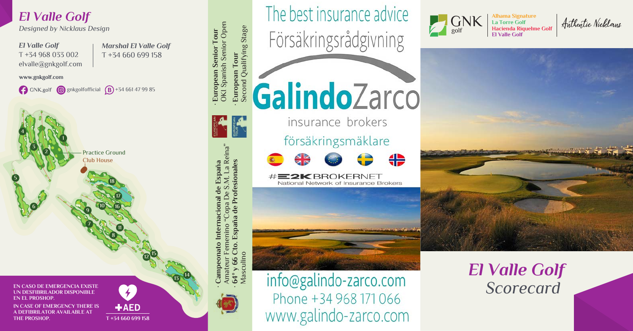## *El Valle Golf*

*Designed by Nicklaus Design*

**1**

**2 3**

**6**

**4**

**5**

*El Valle Golf* T +34 968 033 002 elvalle@gnkgolf.com *Marshal El Valle Golf* T +34 660 699 158

www.gnkgolf.com

GNK.golf  $\bigcirc$  gnkgolfofficial  $\bigcirc$  +34 661 47 99 85

Practice Ground Club House

**10**

**9**<br>2<br>7



**IN CASE OF EMERGENCY THERE IS A DEFIBRILATOR AVAILABLE AT THE PROSHOP.**

AED **T +34 660 699 158**

**11**

**8**

**16 17 18**

**13**

**14**

**· Campeonato Internacional de España** Amateur Femenino "Copa De S.M. La Reina" **· 64º y 66 Cto. España de Profesionales**

onato Internacional de España

M. La Reina

**P.S** 

 $\bigcap_{i=1}^n$ 

Profesionales

España d emenino Cto. 66

 $64^{\circ}$ Amate

**· European Senior Tour**

**<sup>15</sup> <sup>12</sup>**

European Senior Tour<br>OKI Spanish Senior Open OKI Spanish Senior Open European Tour<br>Second Qualifying Stage Second Qualifying Stage **· European Tour** 

The best insurance advice Försäkringsrådgivning

GalindoZarco **Allen** 

insurance brokers försäkringsmäklare



#**E2KBROKERNET** National Network of Insurance Brokers



*El Valle Golf Scorecard*

Alhama Signature<br>La Torre Golf<br><u>University Signature</u> Cate Authentic Nicklaus

**La Torre Golf Hacienda Riquelme Golf El Valle Golf**

GNK golf